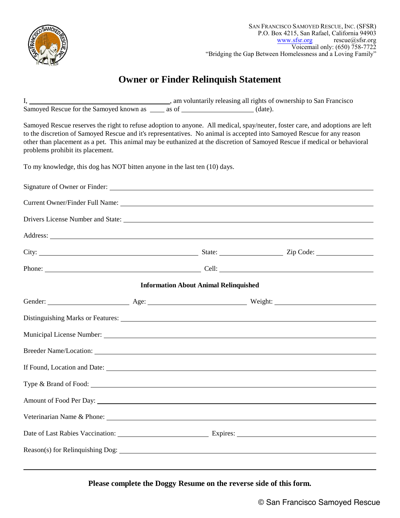

## **Owner or Finder Relinquish Statement**

| Samoyed Rescue reserves the right to refuse adoption to anyone. All medical, spay/neuter, foster care, and adoptions are left<br>to the discretion of Samoyed Rescue and it's representatives. No animal is accepted into Samoyed Rescue for any reason<br>other than placement as a pet. This animal may be euthanized at the discretion of Samoyed Rescue if medical or behavioral<br>problems prohibit its placement. |                                              |  |  |  |  |  |
|--------------------------------------------------------------------------------------------------------------------------------------------------------------------------------------------------------------------------------------------------------------------------------------------------------------------------------------------------------------------------------------------------------------------------|----------------------------------------------|--|--|--|--|--|
| To my knowledge, this dog has NOT bitten anyone in the last ten (10) days.                                                                                                                                                                                                                                                                                                                                               |                                              |  |  |  |  |  |
|                                                                                                                                                                                                                                                                                                                                                                                                                          |                                              |  |  |  |  |  |
|                                                                                                                                                                                                                                                                                                                                                                                                                          |                                              |  |  |  |  |  |
|                                                                                                                                                                                                                                                                                                                                                                                                                          |                                              |  |  |  |  |  |
| Address: <u>Address:</u> Address: Address: Address: Address: Address: Address: Address: Address: Address: Address: Address: Address: Address: Address: Address: Address: Address: Address: Address: Address: Address: Address: Addr                                                                                                                                                                                      |                                              |  |  |  |  |  |
|                                                                                                                                                                                                                                                                                                                                                                                                                          |                                              |  |  |  |  |  |
|                                                                                                                                                                                                                                                                                                                                                                                                                          |                                              |  |  |  |  |  |
|                                                                                                                                                                                                                                                                                                                                                                                                                          | <b>Information About Animal Relinquished</b> |  |  |  |  |  |
| Gender: Neight: New York New York Neight: Neight: Neight: Neight: Neight: Neight: Neight: New York New York New York New York New York New York New York New York New York New York New York New York New York New York New Yo                                                                                                                                                                                           |                                              |  |  |  |  |  |
|                                                                                                                                                                                                                                                                                                                                                                                                                          |                                              |  |  |  |  |  |
| Municipal License Number: Manual According to the Municipal License Number:                                                                                                                                                                                                                                                                                                                                              |                                              |  |  |  |  |  |
| Breeder Name/Location: Letterstein the contract of the contract of the contract of the contract of the contract of the contract of the contract of the contract of the contract of the contract of the contract of the contrac                                                                                                                                                                                           |                                              |  |  |  |  |  |
|                                                                                                                                                                                                                                                                                                                                                                                                                          |                                              |  |  |  |  |  |
| Type & Brand of Food:                                                                                                                                                                                                                                                                                                                                                                                                    |                                              |  |  |  |  |  |
|                                                                                                                                                                                                                                                                                                                                                                                                                          |                                              |  |  |  |  |  |
| Veterinarian Name & Phone: 2008 and 2008 and 2008 and 2010 and 2010 and 2010 and 2010 and 2010 and 2010 and 20                                                                                                                                                                                                                                                                                                           |                                              |  |  |  |  |  |
|                                                                                                                                                                                                                                                                                                                                                                                                                          |                                              |  |  |  |  |  |
|                                                                                                                                                                                                                                                                                                                                                                                                                          |                                              |  |  |  |  |  |
|                                                                                                                                                                                                                                                                                                                                                                                                                          |                                              |  |  |  |  |  |

**Please complete the Doggy Resume on the reverse side of this form.**